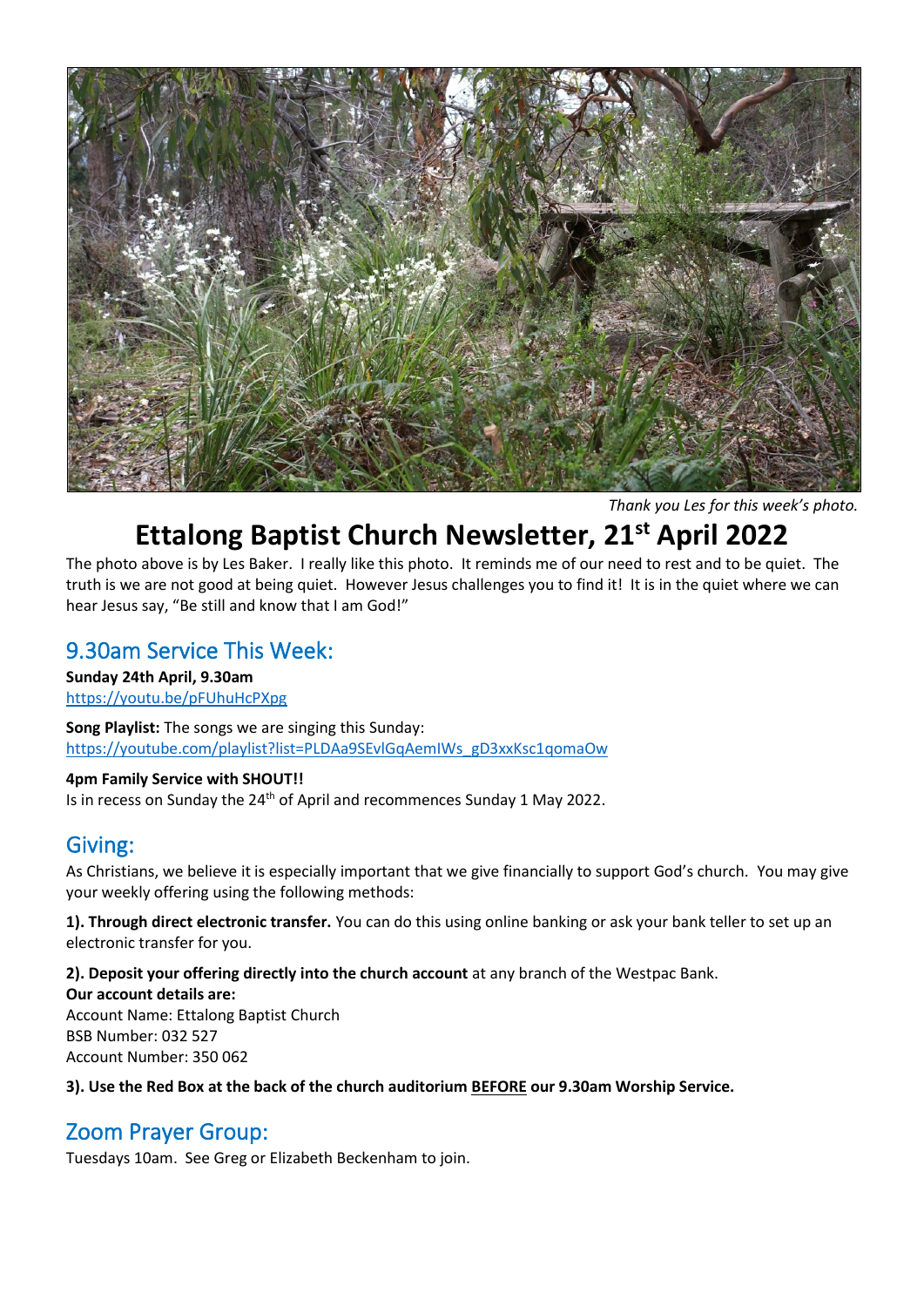

*Thank you Les for this week's photo.*

# **Ettalong Baptist Church Newsletter, 21st April 2022**

The photo above is by Les Baker. I really like this photo. It reminds me of our need to rest and to be quiet. The truth is we are not good at being quiet. However Jesus challenges you to find it! It is in the quiet where we can hear Jesus say, "Be still and know that I am God!"

#### 9.30am Service This Week:

**Sunday 24th April, 9.30am** <https://youtu.be/pFUhuHcPXpg>

**Song Playlist:** The songs we are singing this Sunday: [https://youtube.com/playlist?list=PLDAa9SEvlGqAemIWs\\_gD3xxKsc1qomaOw](https://youtube.com/playlist?list=PLDAa9SEvlGqAemIWs_gD3xxKsc1qomaOw)

#### **4pm Family Service with SHOUT!!**

Is in recess on Sunday the 24<sup>th</sup> of April and recommences Sunday 1 May 2022.

#### Giving:

As Christians, we believe it is especially important that we give financially to support God's church. You may give your weekly offering using the following methods:

**1). Through direct electronic transfer.** You can do this using online banking or ask your bank teller to set up an electronic transfer for you.

**2). Deposit your offering directly into the church account** at any branch of the Westpac Bank. **Our account details are:**  Account Name: Ettalong Baptist Church BSB Number: 032 527 Account Number: 350 062

**3). Use the Red Box at the back of the church auditorium BEFORE our 9.30am Worship Service.** 

## Zoom Prayer Group:

Tuesdays 10am. See Greg or Elizabeth Beckenham to join.